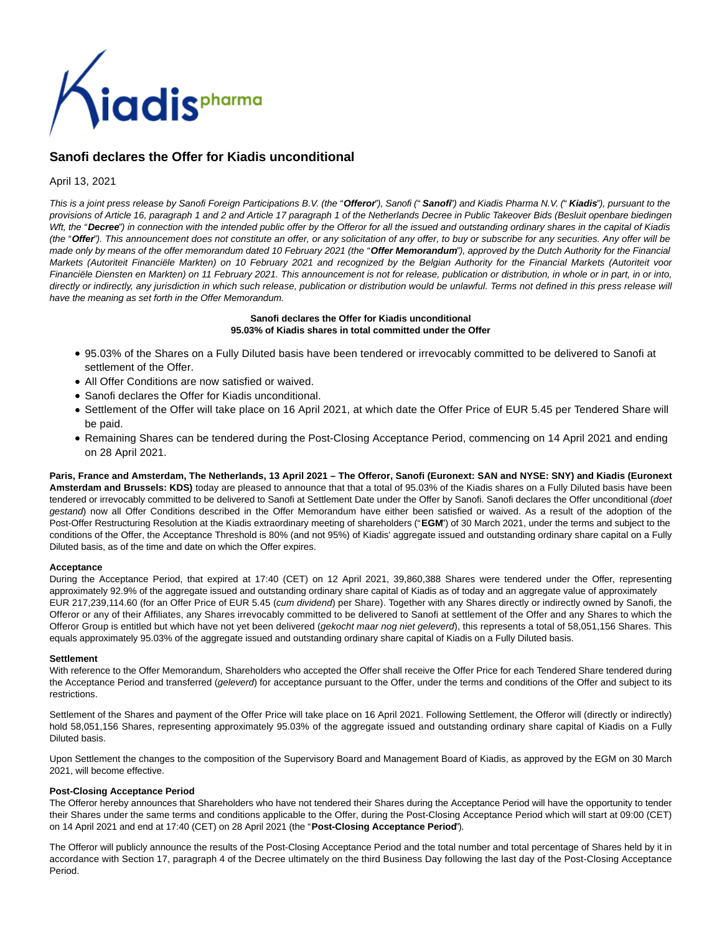

# **Sanofi declares the Offer for Kiadis unconditional**

# April 13, 2021

This is a joint press release by Sanofi Foreign Participations B.V. (the "**Offeror**"), Sanofi (" **Sanofi**") and Kiadis Pharma N.V. (" **Kiadis**"), pursuant to the provisions of Article 16, paragraph 1 and 2 and Article 17 paragraph 1 of the Netherlands Decree in Public Takeover Bids (Besluit openbare biedingen Wft, the "Decree") in connection with the intended public offer by the Offeror for all the issued and outstanding ordinary shares in the capital of Kiadis (the "Offer"). This announcement does not constitute an offer, or any solicitation of any offer, to buy or subscribe for any securities. Any offer will be made only by means of the offer memorandum dated 10 February 2021 (the "**Offer Memorandum**"), approved by the Dutch Authority for the Financial Markets (Autoriteit Financiële Markten) on 10 February 2021 and recognized by the Belgian Authority for the Financial Markets (Autoriteit voor Financiële Diensten en Markten) on 11 February 2021. This announcement is not for release, publication or distribution, in whole or in part, in or into, directly or indirectly, any jurisdiction in which such release, publication or distribution would be unlawful. Terms not defined in this press release will have the meaning as set forth in the Offer Memorandum.

# **Sanofi declares the Offer for Kiadis unconditional 95.03% of Kiadis shares in total committed under the Offer**

- 95.03% of the Shares on a Fully Diluted basis have been tendered or irrevocably committed to be delivered to Sanofi at settlement of the Offer.
- All Offer Conditions are now satisfied or waived.
- Sanofi declares the Offer for Kiadis unconditional.
- Settlement of the Offer will take place on 16 April 2021, at which date the Offer Price of EUR 5.45 per Tendered Share will be paid.
- Remaining Shares can be tendered during the Post-Closing Acceptance Period, commencing on 14 April 2021 and ending on 28 April 2021.

**Paris, France and Amsterdam, The Netherlands, 13 April 2021 – The Offeror, Sanofi (Euronext: SAN and NYSE: SNY) and Kiadis (Euronext Amsterdam and Brussels: KDS)** today are pleased to announce that that a total of 95.03% of the Kiadis shares on a Fully Diluted basis have been tendered or irrevocably committed to be delivered to Sanofi at Settlement Date under the Offer by Sanofi. Sanofi declares the Offer unconditional (doet gestand) now all Offer Conditions described in the Offer Memorandum have either been satisfied or waived. As a result of the adoption of the Post-Offer Restructuring Resolution at the Kiadis extraordinary meeting of shareholders ("**EGM**") of 30 March 2021, under the terms and subject to the conditions of the Offer, the Acceptance Threshold is 80% (and not 95%) of Kiadis' aggregate issued and outstanding ordinary share capital on a Fully Diluted basis, as of the time and date on which the Offer expires.

# **Acceptance**

During the Acceptance Period, that expired at 17:40 (CET) on 12 April 2021, 39,860,388 Shares were tendered under the Offer, representing approximately 92.9% of the aggregate issued and outstanding ordinary share capital of Kiadis as of today and an aggregate value of approximately EUR 217,239,114.60 (for an Offer Price of EUR 5.45 (cum dividend) per Share). Together with any Shares directly or indirectly owned by Sanofi, the Offeror or any of their Affiliates, any Shares irrevocably committed to be delivered to Sanofi at settlement of the Offer and any Shares to which the Offeror Group is entitled but which have not yet been delivered (gekocht maar nog niet geleverd), this represents a total of 58,051,156 Shares. This equals approximately 95.03% of the aggregate issued and outstanding ordinary share capital of Kiadis on a Fully Diluted basis.

#### **Settlement**

With reference to the Offer Memorandum, Shareholders who accepted the Offer shall receive the Offer Price for each Tendered Share tendered during the Acceptance Period and transferred (geleverd) for acceptance pursuant to the Offer, under the terms and conditions of the Offer and subject to its restrictions.

Settlement of the Shares and payment of the Offer Price will take place on 16 April 2021. Following Settlement, the Offeror will (directly or indirectly) hold 58,051,156 Shares, representing approximately 95.03% of the aggregate issued and outstanding ordinary share capital of Kiadis on a Fully Diluted basis.

Upon Settlement the changes to the composition of the Supervisory Board and Management Board of Kiadis, as approved by the EGM on 30 March 2021, will become effective.

# **Post-Closing Acceptance Period**

The Offeror hereby announces that Shareholders who have not tendered their Shares during the Acceptance Period will have the opportunity to tender their Shares under the same terms and conditions applicable to the Offer, during the Post-Closing Acceptance Period which will start at 09:00 (CET) on 14 April 2021 and end at 17:40 (CET) on 28 April 2021 (the "**Post-Closing Acceptance Period**").

The Offeror will publicly announce the results of the Post-Closing Acceptance Period and the total number and total percentage of Shares held by it in accordance with Section 17, paragraph 4 of the Decree ultimately on the third Business Day following the last day of the Post-Closing Acceptance Period.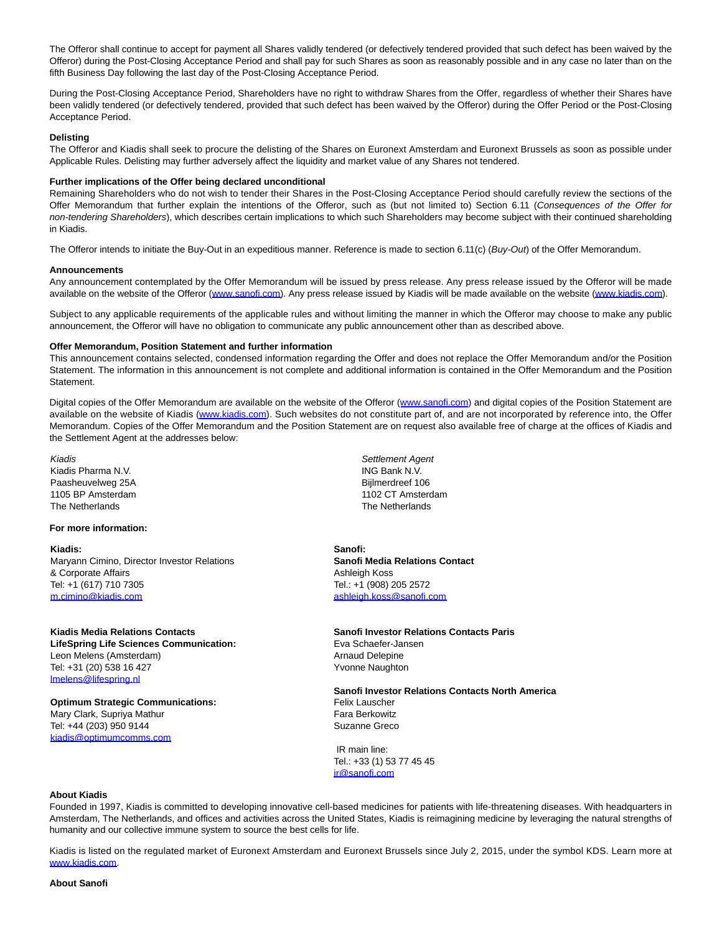The Offeror shall continue to accept for payment all Shares validly tendered (or defectively tendered provided that such defect has been waived by the Offeror) during the Post-Closing Acceptance Period and shall pay for such Shares as soon as reasonably possible and in any case no later than on the fifth Business Day following the last day of the Post-Closing Acceptance Period.

During the Post-Closing Acceptance Period, Shareholders have no right to withdraw Shares from the Offer, regardless of whether their Shares have been validly tendered (or defectively tendered, provided that such defect has been waived by the Offeror) during the Offer Period or the Post-Closing Acceptance Period.

## **Delisting**

The Offeror and Kiadis shall seek to procure the delisting of the Shares on Euronext Amsterdam and Euronext Brussels as soon as possible under Applicable Rules. Delisting may further adversely affect the liquidity and market value of any Shares not tendered.

#### **Further implications of the Offer being declared unconditional**

Remaining Shareholders who do not wish to tender their Shares in the Post-Closing Acceptance Period should carefully review the sections of the Offer Memorandum that further explain the intentions of the Offeror, such as (but not limited to) Section 6.11 (Consequences of the Offer for non-tendering Shareholders), which describes certain implications to which such Shareholders may become subject with their continued shareholding in Kiadis.

The Offeror intends to initiate the Buy-Out in an expeditious manner. Reference is made to section 6.11(c) (Buy-Out) of the Offer Memorandum.

#### **Announcements**

Any announcement contemplated by the Offer Memorandum will be issued by press release. Any press release issued by the Offeror will be made available on the website of the Offeror [\(www.sanofi.com\).](https://www.globenewswire.com/Tracker?data=94-UiOCRwpyI33sMY0cJKq2pxVV54_z_Ux8z7szQMxjeURXjiES2n2FLgdu7zFpmzAesTG3Zlfc2V_DWG2k8AQ==) Any press release issued by Kiadis will be made available on the website [\(www.kiadis.com\).](https://www.globenewswire.com/Tracker?data=94-UiOCRwpyI33sMY0cJKk4Jmz8CuAF1OvXdAUJ5lI3_6nXnUP63hAualkkxSB0xdeT38uYxKycqVGWir44Bpg==)

Subject to any applicable requirements of the applicable rules and without limiting the manner in which the Offeror may choose to make any public announcement, the Offeror will have no obligation to communicate any public announcement other than as described above.

### **Offer Memorandum, Position Statement and further information**

This announcement contains selected, condensed information regarding the Offer and does not replace the Offer Memorandum and/or the Position Statement. The information in this announcement is not complete and additional information is contained in the Offer Memorandum and the Position Statement.

Digital copies of the Offer Memorandum are available on the website of the Offeror [\(www.sanofi.com\)](https://www.globenewswire.com/Tracker?data=94-UiOCRwpyI33sMY0cJKlOO26e0xiQHSzACD0KpXF6NRGv0CVIz89QfyiwNqWZjfcAP5GxA64Kz3reFaQRiuA==) and digital copies of the Position Statement are available on the website of Kiadis [\(www.kiadis.com\).](https://www.globenewswire.com/Tracker?data=94-UiOCRwpyI33sMY0cJKv-Esh1USMRHPosZyIP0CUdrEl5dpnfiafPcJ_CH-bkaGzCTTrkWH9mYT-aQ4BM5PA==) Such websites do not constitute part of, and are not incorporated by reference into, the Offer Memorandum. Copies of the Offer Memorandum and the Position Statement are on request also available free of charge at the offices of Kiadis and the Settlement Agent at the addresses below:

Kiadis Kiadis Pharma N.V. Paasheuvelweg 25A 1105 BP Amsterdam The Netherlands

# **For more information:**

**Kiadis:** Maryann Cimino, Director Investor Relations & Corporate Affairs Tel: +1 (617) 710 7305 [m.cimino@kiadis.com](mailto:m.cimino@kiadis.com)

**Kiadis Media Relations Contacts LifeSpring Life Sciences Communication:** Leon Melens (Amsterdam) Tel: +31 (20) 538 16 427 [lmelens@lifespring.nl](mailto:lmelens@lifespring.nl)

**Optimum Strategic Communications:** Mary Clark, Supriya Mathur Tel: +44 (203) 950 9144 [kiadis@optimumcomms.com](mailto:kiadis@optimumcomms.com)

Settlement Agent ING Bank N.V. Bijlmerdreef 106 1102 CT Amsterdam The Netherlands

**Sanofi: Sanofi Media Relations Contact** Ashleigh Koss Tel.: +1 (908) 205 2572 [ashleigh.koss@sanofi.com](mailto:ashleigh.koss@sanofi.com)

### **Sanofi Investor Relations Contacts Paris** Eva Schaefer-Jansen Arnaud Delepine

Yvonne Naughton

# **Sanofi Investor Relations Contacts North America**

Felix Lauscher Fara Berkowitz Suzanne Greco

 IR main line: Tel.: +33 (1) 53 77 45 45 [ir@sanofi.com](mailto:ir@sanofi.com)

#### **About Kiadis**

Founded in 1997, Kiadis is committed to developing innovative cell-based medicines for patients with life-threatening diseases. With headquarters in Amsterdam, The Netherlands, and offices and activities across the United States, Kiadis is reimagining medicine by leveraging the natural strengths of humanity and our collective immune system to source the best cells for life.

Kiadis is listed on the regulated market of Euronext Amsterdam and Euronext Brussels since July 2, 2015, under the symbol KDS. Learn more at [www.kiadis.com.](https://www.globenewswire.com/Tracker?data=94-UiOCRwpyI33sMY0cJKjvmsk-k30V2xSz_QSNmTBOGbmRV84ZjPyr7kGc1VL2UmZsqhBNl3XFawDq19qE5Dg==)